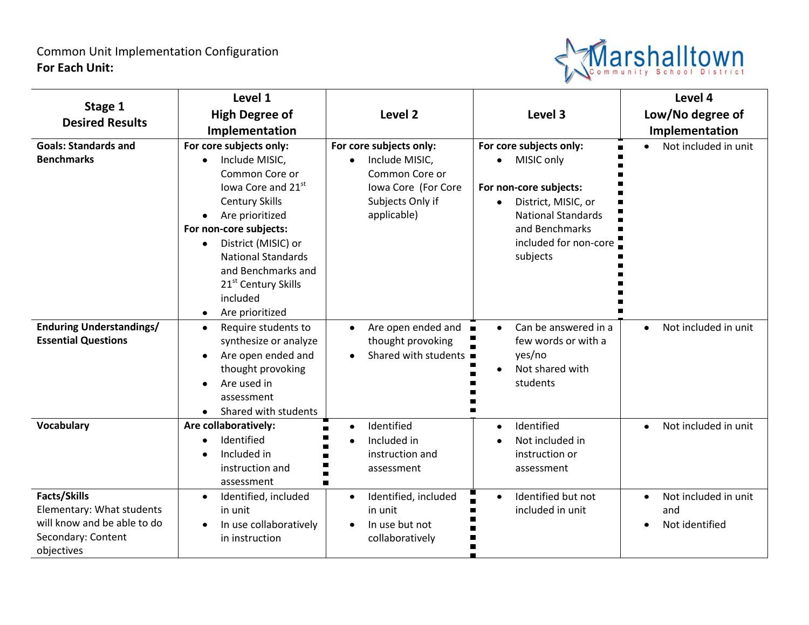

|                                   | Level 1                          |                                                   |                                   | Level 4                           |
|-----------------------------------|----------------------------------|---------------------------------------------------|-----------------------------------|-----------------------------------|
| Stage 1<br><b>Desired Results</b> | <b>High Degree of</b>            | Level <sub>2</sub>                                | Level 3                           | Low/No degree of                  |
|                                   | Implementation                   |                                                   |                                   | Implementation                    |
| <b>Goals: Standards and</b>       | For core subjects only:          | For core subjects only:                           | For core subjects only:           | Not included in unit              |
| <b>Benchmarks</b>                 | Include MISIC,<br>$\bullet$      | Include MISIC,<br>$\bullet$                       | MISIC only<br>$\bullet$           |                                   |
|                                   | Common Core or                   | Common Core or                                    |                                   |                                   |
|                                   | lowa Core and 21st               | Iowa Core (For Core                               | For non-core subjects:            |                                   |
|                                   | <b>Century Skills</b>            | Subjects Only if                                  | District, MISIC, or<br>$\bullet$  |                                   |
|                                   | Are prioritized                  | applicable)                                       | <b>National Standards</b>         |                                   |
|                                   | For non-core subjects:           |                                                   | and Benchmarks                    |                                   |
|                                   | District (MISIC) or<br>$\bullet$ |                                                   | included for non-core             |                                   |
|                                   | <b>National Standards</b>        |                                                   | subjects                          |                                   |
|                                   | and Benchmarks and               |                                                   |                                   |                                   |
|                                   | 21 <sup>st</sup> Century Skills  |                                                   |                                   |                                   |
|                                   | included                         |                                                   |                                   |                                   |
|                                   | Are prioritized<br>$\bullet$     |                                                   |                                   |                                   |
| <b>Enduring Understandings/</b>   | Require students to<br>$\bullet$ | Are open ended and<br>$\blacksquare$<br>$\bullet$ | Can be answered in a<br>$\bullet$ | Not included in unit<br>$\bullet$ |
| <b>Essential Questions</b>        | synthesize or analyze            | thought provoking                                 | few words or with a               |                                   |
|                                   | Are open ended and<br>$\bullet$  | Shared with students ■<br>$\bullet$               | yes/no                            |                                   |
|                                   | thought provoking                |                                                   | Not shared with                   |                                   |
|                                   | Are used in                      |                                                   | students                          |                                   |
|                                   | assessment                       |                                                   |                                   |                                   |
|                                   | Shared with students             |                                                   |                                   |                                   |
| Vocabulary                        | Are collaboratively:             | Identified<br>$\bullet$                           | Identified<br>$\bullet$           | Not included in unit              |
|                                   | Identified                       | Included in<br>$\bullet$                          | Not included in                   |                                   |
|                                   | Included in                      | instruction and                                   | instruction or                    |                                   |
|                                   | instruction and                  | assessment                                        | assessment                        |                                   |
|                                   | assessment                       |                                                   |                                   |                                   |
| <b>Facts/Skills</b>               | Identified, included             | Identified, included<br>$\bullet$                 | Identified but not                | Not included in unit              |
| Elementary: What students         | in unit                          | in unit                                           | included in unit                  | and                               |
| will know and be able to do       | In use collaboratively           | In use but not                                    |                                   | Not identified                    |
| Secondary: Content                | in instruction                   | collaboratively                                   |                                   |                                   |
| objectives                        |                                  |                                                   |                                   |                                   |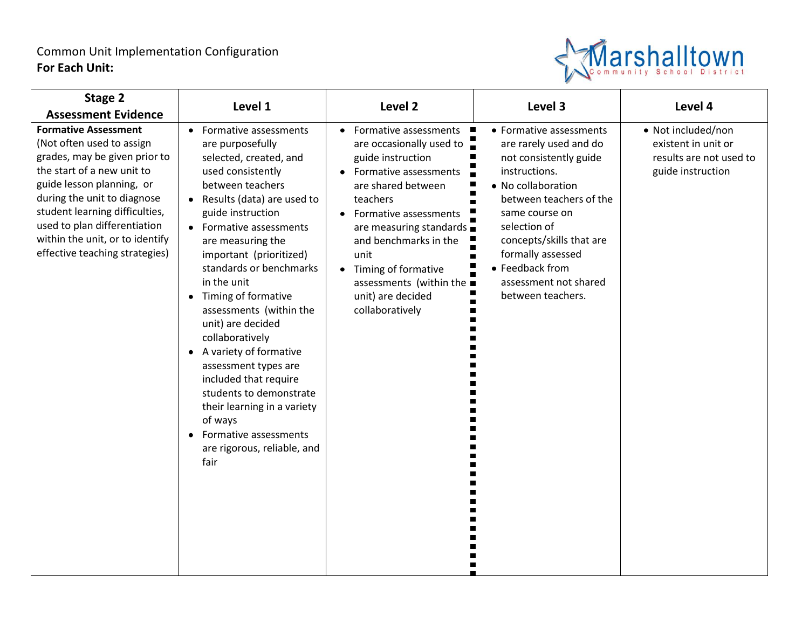## Common Unit Implementation Configuration **For Each Unit:**



| Stage 2                                                                                                                                                                                                                                                                                                                    | Level 1                                                                                                                                                                                                                                                                                                                                                                                                                                                                                                                                                                                                                                                         | Level 2                                                                                                                                                                                                                                                                                                                                                     | Level 3                                                                                                                                                                                                                                                                                           | Level 4                                                                                   |
|----------------------------------------------------------------------------------------------------------------------------------------------------------------------------------------------------------------------------------------------------------------------------------------------------------------------------|-----------------------------------------------------------------------------------------------------------------------------------------------------------------------------------------------------------------------------------------------------------------------------------------------------------------------------------------------------------------------------------------------------------------------------------------------------------------------------------------------------------------------------------------------------------------------------------------------------------------------------------------------------------------|-------------------------------------------------------------------------------------------------------------------------------------------------------------------------------------------------------------------------------------------------------------------------------------------------------------------------------------------------------------|---------------------------------------------------------------------------------------------------------------------------------------------------------------------------------------------------------------------------------------------------------------------------------------------------|-------------------------------------------------------------------------------------------|
| <b>Assessment Evidence</b>                                                                                                                                                                                                                                                                                                 |                                                                                                                                                                                                                                                                                                                                                                                                                                                                                                                                                                                                                                                                 |                                                                                                                                                                                                                                                                                                                                                             |                                                                                                                                                                                                                                                                                                   |                                                                                           |
| <b>Formative Assessment</b><br>(Not often used to assign<br>grades, may be given prior to<br>the start of a new unit to<br>guide lesson planning, or<br>during the unit to diagnose<br>student learning difficulties,<br>used to plan differentiation<br>within the unit, or to identify<br>effective teaching strategies) | Formative assessments<br>$\bullet$<br>are purposefully<br>selected, created, and<br>used consistently<br>between teachers<br>Results (data) are used to<br>$\bullet$<br>guide instruction<br>• Formative assessments<br>are measuring the<br>important (prioritized)<br>standards or benchmarks<br>in the unit<br>Timing of formative<br>$\bullet$<br>assessments (within the<br>unit) are decided<br>collaboratively<br>A variety of formative<br>$\bullet$<br>assessment types are<br>included that require<br>students to demonstrate<br>their learning in a variety<br>of ways<br>Formative assessments<br>$\bullet$<br>are rigorous, reliable, and<br>fair | Formative assessments ■<br>are occasionally used to $\Box$<br>guide instruction<br>• Formative assessments<br>are shared between<br>teachers<br>Formative assessments<br>$\bullet$<br>are measuring standards $\blacksquare$<br>and benchmarks in the<br>unit<br>• Timing of formative<br>assessments (within the ■<br>unit) are decided<br>collaboratively | • Formative assessments<br>are rarely used and do<br>not consistently guide<br>instructions.<br>• No collaboration<br>between teachers of the<br>same course on<br>selection of<br>concepts/skills that are<br>formally assessed<br>• Feedback from<br>assessment not shared<br>between teachers. | • Not included/non<br>existent in unit or<br>results are not used to<br>guide instruction |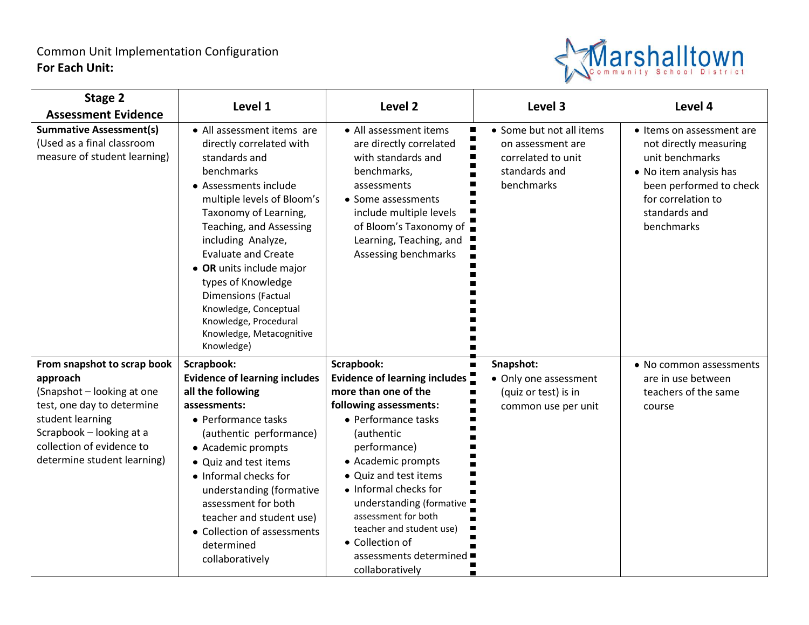## Common Unit Implementation Configuration **For Each Unit:**



| Stage 2                                                                                      | Level 1                                                                                                                                                                                                                                                                                                                                                                                                                          | Level <sub>2</sub>                                                                                                                                                                                                                         | Level 3                                                                                            | Level 4                                                                                                                                                                          |
|----------------------------------------------------------------------------------------------|----------------------------------------------------------------------------------------------------------------------------------------------------------------------------------------------------------------------------------------------------------------------------------------------------------------------------------------------------------------------------------------------------------------------------------|--------------------------------------------------------------------------------------------------------------------------------------------------------------------------------------------------------------------------------------------|----------------------------------------------------------------------------------------------------|----------------------------------------------------------------------------------------------------------------------------------------------------------------------------------|
| <b>Assessment Evidence</b>                                                                   |                                                                                                                                                                                                                                                                                                                                                                                                                                  |                                                                                                                                                                                                                                            |                                                                                                    |                                                                                                                                                                                  |
| <b>Summative Assessment(s)</b><br>(Used as a final classroom<br>measure of student learning) | • All assessment items are<br>directly correlated with<br>standards and<br>benchmarks<br>• Assessments include<br>multiple levels of Bloom's<br>Taxonomy of Learning,<br>Teaching, and Assessing<br>including Analyze,<br><b>Evaluate and Create</b><br>• OR units include major<br>types of Knowledge<br><b>Dimensions (Factual</b><br>Knowledge, Conceptual<br>Knowledge, Procedural<br>Knowledge, Metacognitive<br>Knowledge) | • All assessment items<br>are directly correlated<br>with standards and<br>benchmarks,<br>assessments<br>• Some assessments<br>include multiple levels<br>of Bloom's Taxonomy of $\Box$<br>Learning, Teaching, and<br>Assessing benchmarks | • Some but not all items<br>on assessment are<br>correlated to unit<br>standards and<br>benchmarks | • Items on assessment are<br>not directly measuring<br>unit benchmarks<br>• No item analysis has<br>been performed to check<br>for correlation to<br>standards and<br>benchmarks |
| From snapshot to scrap book                                                                  | Scrapbook:                                                                                                                                                                                                                                                                                                                                                                                                                       | Scrapbook:                                                                                                                                                                                                                                 | Snapshot:                                                                                          | • No common assessments                                                                                                                                                          |
| approach                                                                                     | <b>Evidence of learning includes</b>                                                                                                                                                                                                                                                                                                                                                                                             | <b>Evidence of learning includes</b>                                                                                                                                                                                                       | • Only one assessment                                                                              | are in use between                                                                                                                                                               |
| (Snapshot - looking at one                                                                   | all the following                                                                                                                                                                                                                                                                                                                                                                                                                | more than one of the                                                                                                                                                                                                                       | (quiz or test) is in                                                                               | teachers of the same                                                                                                                                                             |
| test, one day to determine                                                                   | assessments:                                                                                                                                                                                                                                                                                                                                                                                                                     | following assessments:                                                                                                                                                                                                                     | common use per unit                                                                                | course                                                                                                                                                                           |
| student learning<br>Scrapbook - looking at a                                                 | • Performance tasks                                                                                                                                                                                                                                                                                                                                                                                                              | • Performance tasks                                                                                                                                                                                                                        |                                                                                                    |                                                                                                                                                                                  |
| collection of evidence to                                                                    | (authentic performance)<br>• Academic prompts                                                                                                                                                                                                                                                                                                                                                                                    | (authentic<br>performance)                                                                                                                                                                                                                 |                                                                                                    |                                                                                                                                                                                  |
| determine student learning)                                                                  | • Quiz and test items                                                                                                                                                                                                                                                                                                                                                                                                            | • Academic prompts                                                                                                                                                                                                                         |                                                                                                    |                                                                                                                                                                                  |
|                                                                                              | • Informal checks for                                                                                                                                                                                                                                                                                                                                                                                                            | • Quiz and test items                                                                                                                                                                                                                      |                                                                                                    |                                                                                                                                                                                  |
|                                                                                              | understanding (formative                                                                                                                                                                                                                                                                                                                                                                                                         | • Informal checks for                                                                                                                                                                                                                      |                                                                                                    |                                                                                                                                                                                  |
|                                                                                              | assessment for both                                                                                                                                                                                                                                                                                                                                                                                                              | understanding (formative                                                                                                                                                                                                                   |                                                                                                    |                                                                                                                                                                                  |
|                                                                                              | teacher and student use)                                                                                                                                                                                                                                                                                                                                                                                                         | assessment for both                                                                                                                                                                                                                        |                                                                                                    |                                                                                                                                                                                  |
|                                                                                              | • Collection of assessments                                                                                                                                                                                                                                                                                                                                                                                                      | teacher and student use)                                                                                                                                                                                                                   |                                                                                                    |                                                                                                                                                                                  |
|                                                                                              | determined                                                                                                                                                                                                                                                                                                                                                                                                                       | • Collection of                                                                                                                                                                                                                            |                                                                                                    |                                                                                                                                                                                  |
|                                                                                              | collaboratively                                                                                                                                                                                                                                                                                                                                                                                                                  | assessments determined $\blacksquare$                                                                                                                                                                                                      |                                                                                                    |                                                                                                                                                                                  |
|                                                                                              |                                                                                                                                                                                                                                                                                                                                                                                                                                  | collaboratively                                                                                                                                                                                                                            |                                                                                                    |                                                                                                                                                                                  |